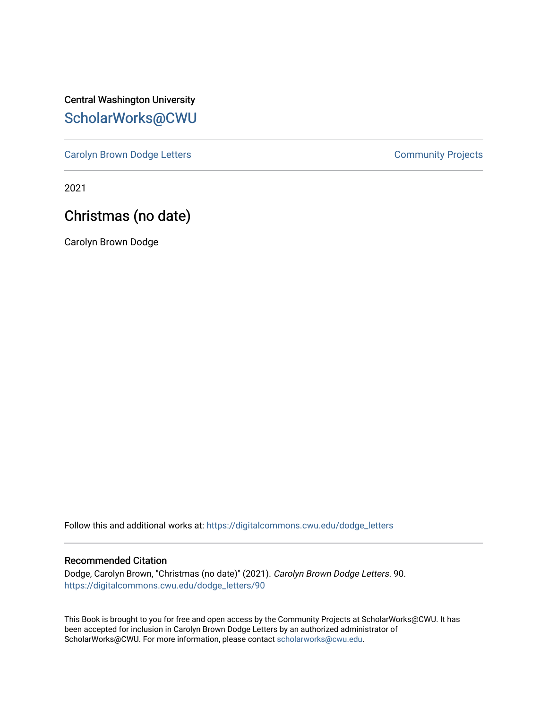Central Washington University [ScholarWorks@CWU](https://digitalcommons.cwu.edu/) 

[Carolyn Brown Dodge Letters](https://digitalcommons.cwu.edu/dodge_letters) **Carolyn Brown Dodge Letters Community Projects** 

2021

## Christmas (no date)

Carolyn Brown Dodge

Follow this and additional works at: [https://digitalcommons.cwu.edu/dodge\\_letters](https://digitalcommons.cwu.edu/dodge_letters?utm_source=digitalcommons.cwu.edu%2Fdodge_letters%2F90&utm_medium=PDF&utm_campaign=PDFCoverPages) 

## Recommended Citation

Dodge, Carolyn Brown, "Christmas (no date)" (2021). Carolyn Brown Dodge Letters. 90. [https://digitalcommons.cwu.edu/dodge\\_letters/90](https://digitalcommons.cwu.edu/dodge_letters/90?utm_source=digitalcommons.cwu.edu%2Fdodge_letters%2F90&utm_medium=PDF&utm_campaign=PDFCoverPages)

This Book is brought to you for free and open access by the Community Projects at ScholarWorks@CWU. It has been accepted for inclusion in Carolyn Brown Dodge Letters by an authorized administrator of ScholarWorks@CWU. For more information, please contact [scholarworks@cwu.edu](mailto:scholarworks@cwu.edu).